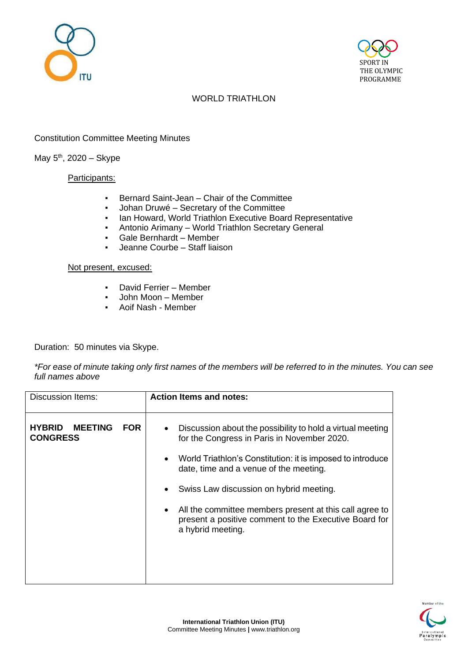



# WORLD TRIATHLON

# Constitution Committee Meeting Minutes

## May 5<sup>th</sup>, 2020 – Skype

#### Participants:

- Bernard Saint-Jean Chair of the Committee
- Johan Druwé Secretary of the Committee
- **Ian Howard, World Triathlon Executive Board Representative**
- Antonio Arimany World Triathlon Secretary General
- Gale Bernhardt Member
- Jeanne Courbe Staff liaison

#### Not present, excused:

- David Ferrier Member
- John Moon Member
- Aoif Nash Member

Duration: 50 minutes via Skype.

*\*For ease of minute taking only first names of the members will be referred to in the minutes. You can see full names above*

| <b>Discussion Items:</b>                                         | <b>Action Items and notes:</b>                                                                                                                                                                                                                                                                                                                                                                                                                            |
|------------------------------------------------------------------|-----------------------------------------------------------------------------------------------------------------------------------------------------------------------------------------------------------------------------------------------------------------------------------------------------------------------------------------------------------------------------------------------------------------------------------------------------------|
| <b>HYBRID</b><br><b>MEETING</b><br><b>FOR</b><br><b>CONGRESS</b> | Discussion about the possibility to hold a virtual meeting<br>$\bullet$<br>for the Congress in Paris in November 2020.<br>World Triathlon's Constitution: it is imposed to introduce<br>$\bullet$<br>date, time and a venue of the meeting.<br>Swiss Law discussion on hybrid meeting.<br>$\bullet$<br>All the committee members present at this call agree to<br>$\bullet$<br>present a positive comment to the Executive Board for<br>a hybrid meeting. |